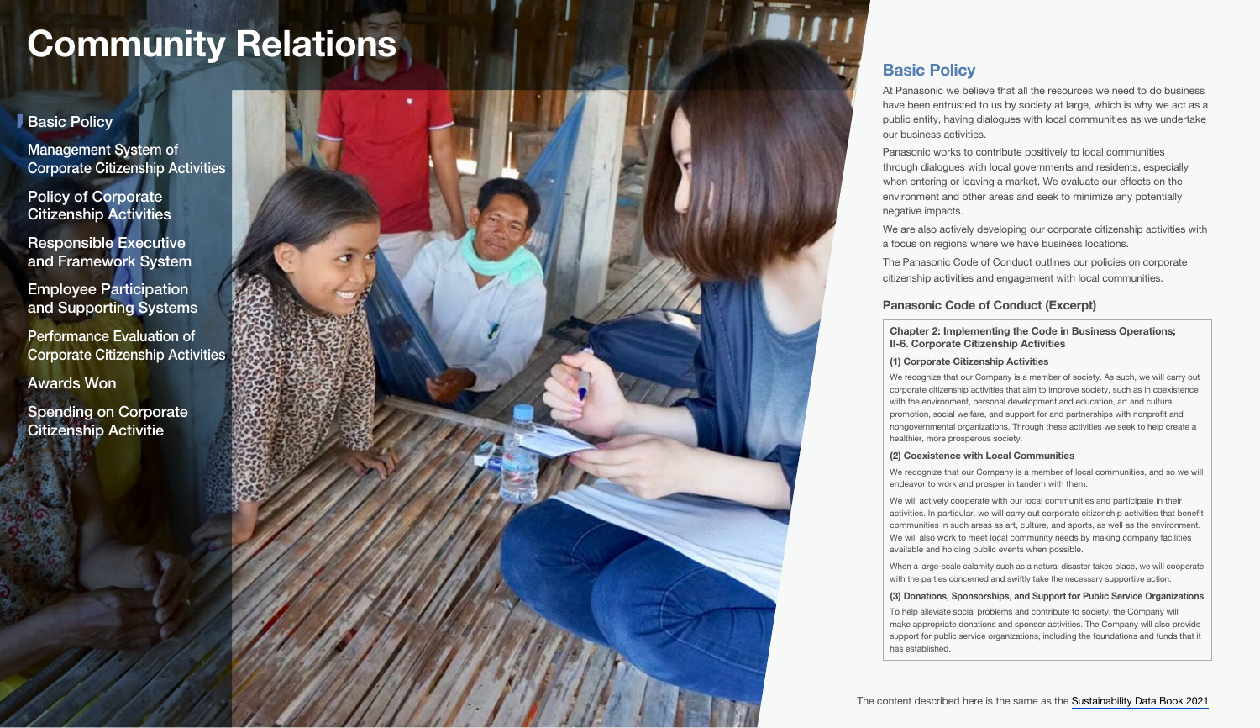# <span id="page-0-0"></span>**Basic Policy**

Management System of [Corporate Citizenship Activities](#page-1-0)

Policy of Corporate [Citizenship Activities](#page-1-0)

Responsible Executive [and Framework System](#page-2-0)

Employee Participation [and Supporting Systems](#page-2-0)

[Awards Won](#page-4-0) Performance Evaluation of [Corporate Citizenship Activities](#page-3-0)

[Spending on Corporate](#page-4-0)  Citizenship Activitie



# **Basic Policy**

At Panasonic we believe that all the resources we need to do business have been entrusted to us by society at large, which is why we act as a public entity, having dialogues with local communities as we undertake our business activities.

Panasonic works to contribute positively to local communities through dialogues with local governments and residents, especially when entering or leaving a market. We evaluate our effects on the environment and other areas and seek to minimize any potentially negative impacts.

We are also actively developing our corporate citizenship activities with a focus on regions where we have business locations.

The Panasonic Code of Conduct outlines our policies on corporate citizenship activities and engagement with local communities.

## Panasonic Code of Conduct (Excerpt)

## Chapter 2: Implementing the Code in Business Operations; II-6. Corporate Citizenship Activities

### (1) Corporate Citizenship Activities

We recognize that our Company is a member of society. As such, we will carry out corporate citizenship activities that aim to improve society, such as in coexistence with the environment, personal development and education, art and cultural promotion, social welfare, and support for and partnerships with nonprofit and nongovernmental organizations. Through these activities we seek to help create a healthier, more prosperous society.

#### (2) Coexistence with Local Communities

We recognize that our Company is a member of local communities, and so we will endeavor to work and prosper in tandem with them.

We will actively cooperate with our local communities and participate in their activities. In particular, we will carry out corporate citizenship activities that benefit communities in such areas as art, culture, and sports, as well as the environment. We will also work to meet local community needs by making company facilities available and holding public events when possible.

When a large-scale calamity such as a natural disaster takes place, we will cooperate with the parties concerned and swiftly take the necessary supportive action.

## (3) Donations, Sponsorships, and Support for Public Service Organizations

To help alleviate social problems and contribute to society, the Company will make appropriate donations and sponsor activities. The Company will also provide support for public service organizations, including the foundations and funds that it has established.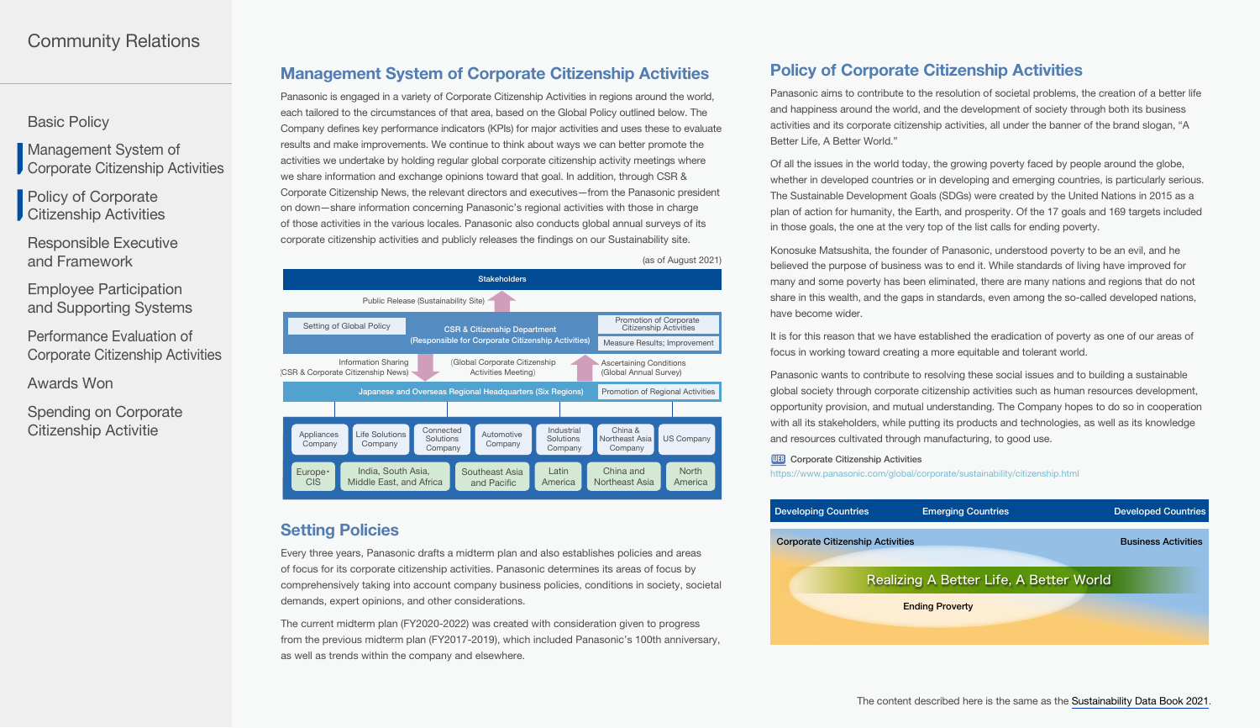<span id="page-1-0"></span>[Basic Policy](#page-0-0)

Management System of Corporate Citizenship Activities

Policy of Corporate **Citizenship Activities** 

[Responsible Executive](#page-2-0)  and Framework

Employee Participation [and Supporting Systems](#page-2-0)

Performance Evaluation of [Corporate Citizenship Activities](#page-3-0)

[Awards Won](#page-0-0)

[Spending on Corporate](#page-4-0)  Citizenship Activitie

# Management System of Corporate Citizenship Activities

Panasonic is engaged in a variety of Corporate Citizenship Activities in regions around the world, each tailored to the circumstances of that area, based on the Global Policy outlined below. The Company defines key performance indicators (KPIs) for major activities and uses these to evaluate results and make improvements. We continue to think about ways we can better promote the activities we undertake by holding regular global corporate citizenship activity meetings where we share information and exchange opinions toward that goal. In addition, through CSR & Corporate Citizenship News, the relevant directors and executives—from the Panasonic president on down—share information concerning Panasonic's regional activities with those in charge of those activities in the various locales. Panasonic also conducts global annual surveys of its corporate citizenship activities and publicly releases the findings on our Sustainability site.



# **Setting Policies**

Every three years, Panasonic drafts a midterm plan and also establishes policies and areas of focus for its corporate citizenship activities. Panasonic determines its areas of focus by comprehensively taking into account company business policies, conditions in society, societal demands, expert opinions, and other considerations.

The current midterm plan (FY2020-2022) was created with consideration given to progress from the previous midterm plan (FY2017-2019), which included Panasonic's 100th anniversary, as well as trends within the company and elsewhere.

# Policy of Corporate Citizenship Activities

Panasonic aims to contribute to the resolution of societal problems, the creation of a better life and happiness around the world, and the development of society through both its business activities and its corporate citizenship activities, all under the banner of the brand slogan, "A Better Life, A Better World."

Of all the issues in the world today, the growing poverty faced by people around the globe, whether in developed countries or in developing and emerging countries, is particularly serious. The Sustainable Development Goals (SDGs) were created by the United Nations in 2015 as a plan of action for humanity, the Earth, and prosperity. Of the 17 goals and 169 targets included in those goals, the one at the very top of the list calls for ending poverty.

Konosuke Matsushita, the founder of Panasonic, understood poverty to be an evil, and he believed the purpose of business was to end it. While standards of living have improved for many and some poverty has been eliminated, there are many nations and regions that do not share in this wealth, and the gaps in standards, even among the so-called developed nations, have become wider.

It is for this reason that we have established the eradication of poverty as one of our areas of focus in working toward creating a more equitable and tolerant world.

Panasonic wants to contribute to resolving these social issues and to building a sustainable global society through corporate citizenship activities such as human resources development, opportunity provision, and mutual understanding. The Company hopes to do so in cooperation with all its stakeholders, while putting its products and technologies, as well as its knowledge and resources cultivated through manufacturing, to good use.

#### **WEB** [Corporate Citizenship Activities](https://www.panasonic.com/global/corporate/sustainability/citizenship.html)

<https://www.panasonic.com/global/corporate/sustainability/citizenship.html>

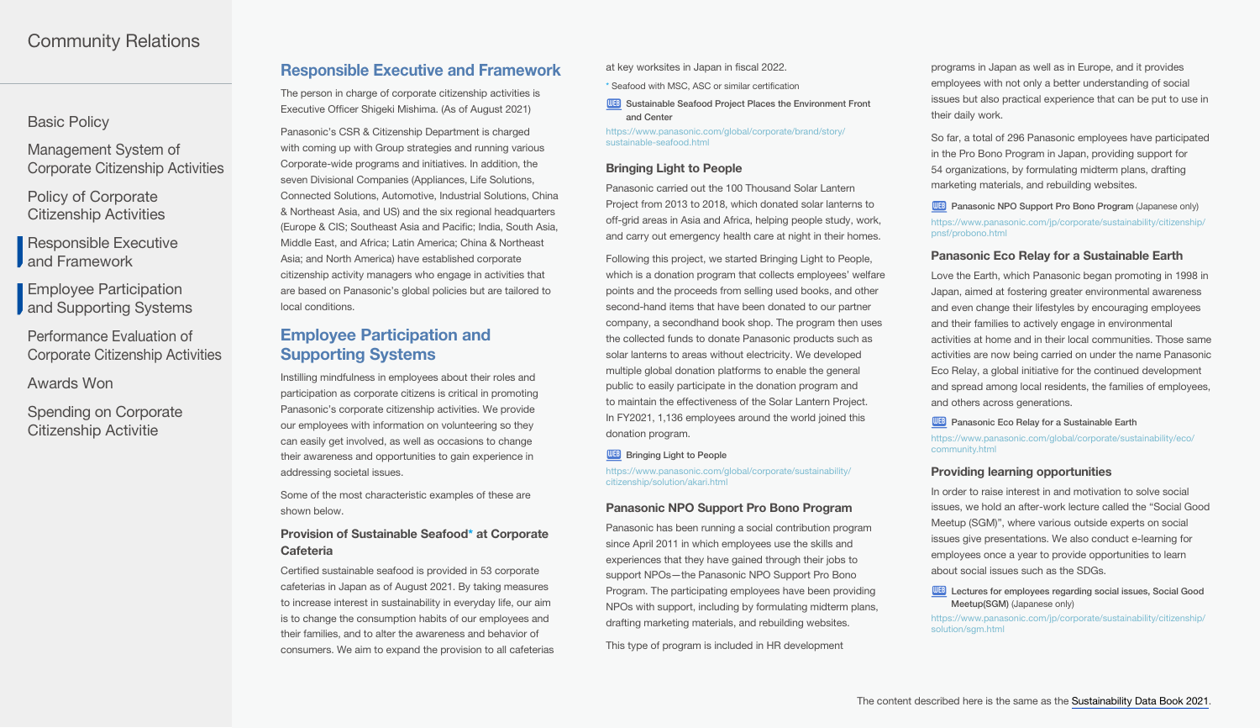## <span id="page-2-0"></span>[Basic Policy](#page-0-0)

Management System of [Corporate Citizenship Activities](#page-1-0)

Policy of Corporate [Citizenship Activities](#page-1-0)

Responsible Executive **J** and Framework

Employee Participation **J** and Supporting Systems

Performance Evaluation of [Corporate Citizenship Activities](#page-3-0)

[Awards Won](#page-0-0)

[Spending on Corporate](#page-4-0)  Citizenship Activitie

## Responsible Executive and Framework

The person in charge of corporate citizenship activities is Executive Officer Shigeki Mishima. (As of August 2021)

Panasonic's CSR & Citizenship Department is charged with coming up with Group strategies and running various Corporate-wide programs and initiatives. In addition, the seven Divisional Companies (Appliances, Life Solutions, Connected Solutions, Automotive, Industrial Solutions, China & Northeast Asia, and US) and the six regional headquarters (Europe & CIS; Southeast Asia and Pacific; India, South Asia, Middle East, and Africa; Latin America; China & Northeast Asia; and North America) have established corporate citizenship activity managers who engage in activities that are based on Panasonic's global policies but are tailored to local conditions.

# Employee Participation and Supporting Systems

Instilling mindfulness in employees about their roles and participation as corporate citizens is critical in promoting Panasonic's corporate citizenship activities. We provide our employees with information on volunteering so they can easily get involved, as well as occasions to change their awareness and opportunities to gain experience in addressing societal issues.

Some of the most characteristic examples of these are shown below.

## Provision of Sustainable Seafood\* at Corporate **Cafeteria**

Certified sustainable seafood is provided in 53 corporate cafeterias in Japan as of August 2021. By taking measures to increase interest in sustainability in everyday life, our aim is to change the consumption habits of our employees and their families, and to alter the awareness and behavior of consumers. We aim to expand the provision to all cafeterias at key worksites in Japan in fiscal 2022.

\* Seafood with MSC, ASC or similar certification

WEB Sustainable Seafood Project Places the Environment Front [and Center](https://www.panasonic.com/global/corporate/brand/story/sustainable-seafood.html)

[https://www.panasonic.com/global/corporate/brand/story/](https://www.panasonic.com/global/corporate/brand/story/sustainable-seafood.html) [sustainable-seafood.html](https://www.panasonic.com/global/corporate/brand/story/sustainable-seafood.html)

## Bringing Light to People

Panasonic carried out the 100 Thousand Solar Lantern Project from 2013 to 2018, which donated solar lanterns to off-grid areas in Asia and Africa, helping people study, work, and carry out emergency health care at night in their homes.

Following this project, we started Bringing Light to People, which is a donation program that collects employees' welfare points and the proceeds from selling used books, and other second-hand items that have been donated to our partner company, a secondhand book shop. The program then uses the collected funds to donate Panasonic products such as solar lanterns to areas without electricity. We developed multiple global donation platforms to enable the general public to easily participate in the donation program and to maintain the effectiveness of the Solar Lantern Project. In FY2021, 1,136 employees around the world joined this donation program.

## **WEB** [Bringing Light to People](https://www.panasonic.com/global/corporate/sustainability/citizenship/solution/akari.html)

[https://www.panasonic.com/global/corporate/sustainability/](https://www.panasonic.com/global/corporate/sustainability/citizenship/solution/akari.html) [citizenship/solution/akari.html](https://www.panasonic.com/global/corporate/sustainability/citizenship/solution/akari.html)

## Panasonic NPO Support Pro Bono Program

Panasonic has been running a social contribution program since April 2011 in which employees use the skills and experiences that they have gained through their jobs to support NPOs—the Panasonic NPO Support Pro Bono Program. The participating employees have been providing NPOs with support, including by formulating midterm plans, drafting marketing materials, and rebuilding websites.

This type of program is included in HR development

programs in Japan as well as in Europe, and it provides employees with not only a better understanding of social issues but also practical experience that can be put to use in their daily work.

So far, a total of 296 Panasonic employees have participated in the Pro Bono Program in Japan, providing support for 54 organizations, by formulating midterm plans, drafting marketing materials, and rebuilding websites.

**WEB** [Panasonic NPO Support Pro Bono Program](https://www.panasonic.com/jp/corporate/sustainability/citizenship/pnsf/probono.html) (Japanese only) [https://www.panasonic.com/jp/corporate/sustainability/citizenship/](https://www.panasonic.com/jp/corporate/sustainability/citizenship/pnsf/probono.html) [pnsf/probono.html](https://www.panasonic.com/jp/corporate/sustainability/citizenship/pnsf/probono.html)

## Panasonic Eco Relay for a Sustainable Earth

Love the Earth, which Panasonic began promoting in 1998 in Japan, aimed at fostering greater environmental awareness and even change their lifestyles by encouraging employees and their families to actively engage in environmental activities at home and in their local communities. Those same activities are now being carried on under the name Panasonic Eco Relay, a global initiative for the continued development and spread among local residents, the families of employees, and others across generations.

**WEB** [Panasonic Eco Relay for a Sustainable Earth](https://www.panasonic.com/global/corporate/sustainability/eco/community.html)

[https://www.panasonic.com/global/corporate/sustainability/eco/](https://www.panasonic.com/global/corporate/sustainability/eco/community.html) [community.html](https://www.panasonic.com/global/corporate/sustainability/eco/community.html)

## Providing learning opportunities

In order to raise interest in and motivation to solve social issues, we hold an after-work lecture called the "Social Good Meetup (SGM)", where various outside experts on social issues give presentations. We also conduct e-learning for employees once a year to provide opportunities to learn about social issues such as the SDGs.

**WEB** Lectures for employees regarding social issues, Social Good Meetup(SGM) [\(Japanese only\)](https://www.panasonic.com/jp/corporate/sustainability/citizenship/solution/sgm.html)

[https://www.panasonic.com/jp/corporate/sustainability/citizenship/](https://www.panasonic.com/jp/corporate/sustainability/citizenship/solution/sgm.html) [solution/sgm.html](https://www.panasonic.com/jp/corporate/sustainability/citizenship/solution/sgm.html)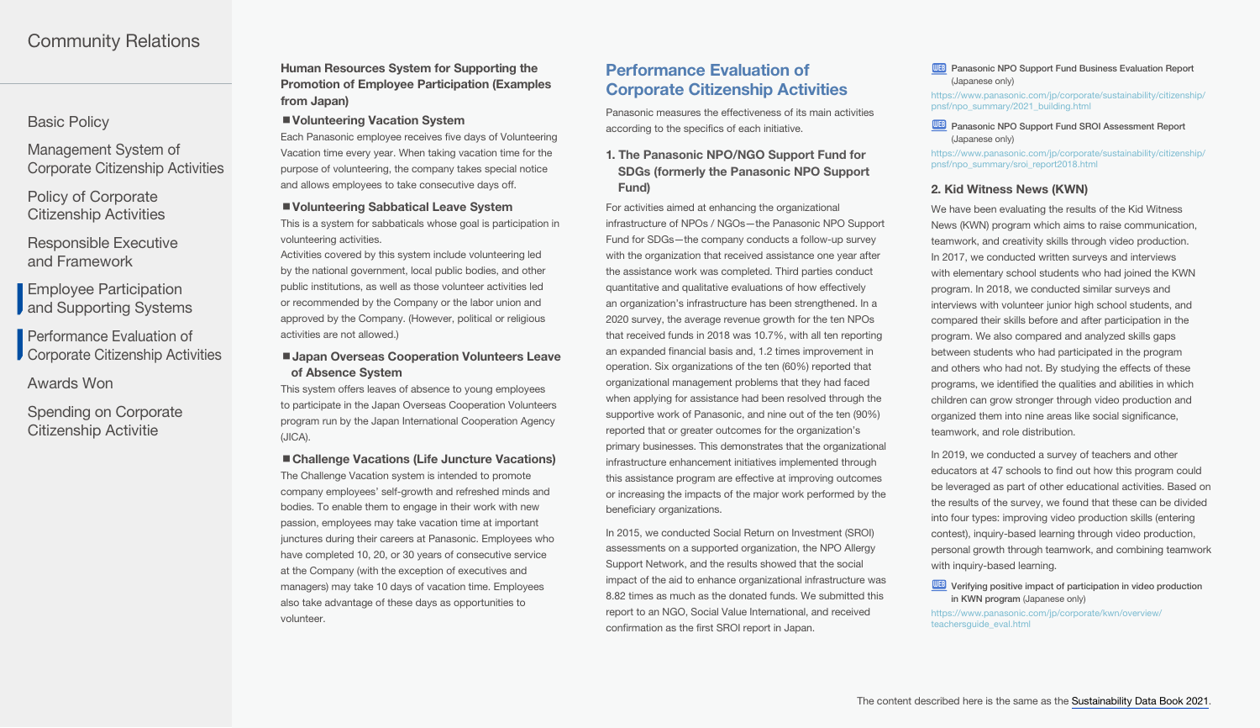## <span id="page-3-0"></span>[Basic Policy](#page-0-0)

Management System of [Corporate Citizenship Activities](#page-1-0)

Policy of Corporate [Citizenship Activities](#page-1-0)

[Responsible Executive](#page-2-0)  and Framework

Employee Participation **J** [and Supporting Systems](#page-2-0)

Performance Evaluation of **Corporate Citizenship Activities** 

[Awards Won](#page-0-0)

[Spending on Corporate](#page-4-0)  Citizenship Activitie

Human Resources System for Supporting the Promotion of Employee Participation (Examples from Japan)

#### ■ Volunteering Vacation System

Each Panasonic employee receives five days of Volunteering Vacation time every year. When taking vacation time for the purpose of volunteering, the company takes special notice and allows employees to take consecutive days off.

#### ■ Volunteering Sabbatical Leave System

This is a system for sabbaticals whose goal is participation in volunteering activities.

Activities covered by this system include volunteering led by the national government, local public bodies, and other public institutions, as well as those volunteer activities led or recommended by the Company or the labor union and approved by the Company. (However, political or religious activities are not allowed.)

## ■ Japan Overseas Cooperation Volunteers Leave of Absence System

This system offers leaves of absence to young employees to participate in the Japan Overseas Cooperation Volunteers program run by the Japan International Cooperation Agency (JICA).

#### ■ Challenge Vacations (Life Juncture Vacations)

The Challenge Vacation system is intended to promote company employees' self-growth and refreshed minds and bodies. To enable them to engage in their work with new passion, employees may take vacation time at important junctures during their careers at Panasonic. Employees who have completed 10, 20, or 30 years of consecutive service at the Company (with the exception of executives and managers) may take 10 days of vacation time. Employees also take advantage of these days as opportunities to volunteer.

# Performance Evaluation of Corporate Citizenship Activities

Panasonic measures the effectiveness of its main activities according to the specifics of each initiative.

1. The Panasonic NPO/NGO Support Fund for SDGs (formerly the Panasonic NPO Support Fund)

For activities aimed at enhancing the organizational infrastructure of NPOs / NGOs—the Panasonic NPO Support Fund for SDGs—the company conducts a follow-up survey with the organization that received assistance one year after the assistance work was completed. Third parties conduct quantitative and qualitative evaluations of how effectively an organization's infrastructure has been strengthened. In a 2020 survey, the average revenue growth for the ten NPOs that received funds in 2018 was 10.7%, with all ten reporting an expanded financial basis and, 1.2 times improvement in operation. Six organizations of the ten (60%) reported that organizational management problems that they had faced when applying for assistance had been resolved through the supportive work of Panasonic, and nine out of the ten (90%) reported that or greater outcomes for the organization's primary businesses. This demonstrates that the organizational infrastructure enhancement initiatives implemented through this assistance program are effective at improving outcomes or increasing the impacts of the major work performed by the beneficiary organizations.

In 2015, we conducted Social Return on Investment (SROI) assessments on a supported organization, the NPO Allergy Support Network, and the results showed that the social impact of the aid to enhance organizational infrastructure was 8.82 times as much as the donated funds. We submitted this report to an NGO, Social Value International, and received confirmation as the first SROI report in Japan.

#### **WEB** [Panasonic NPO Support Fund Business Evaluation Report](https://www.panasonic.com/jp/corporate/sustainability/citizenship/pnsf/npo_summary/2021_building.html) [\(Japanese only\)](https://www.panasonic.com/jp/corporate/sustainability/citizenship/pnsf/npo_summary/2021_building.html)

[https://www.panasonic.com/jp/corporate/sustainability/citizenship/](https://www.panasonic.com/jp/corporate/sustainability/citizenship/pnsf/npo_summary/2021_building.html) [pnsf/npo\\_summary/2021\\_building.html](https://www.panasonic.com/jp/corporate/sustainability/citizenship/pnsf/npo_summary/2021_building.html)

#### **WEB** Panasonic NPO Support Fund SROI Assessment Report [\(Japanese only\)](https://www.panasonic.com/jp/corporate/sustainability/citizenship/pnsf/npo_summary/sroi_report2018.html)

[https://www.panasonic.com/jp/corporate/sustainability/citizenship/](https://www.panasonic.com/jp/corporate/sustainability/citizenship/pnsf/npo_summary/sroi_report2018.html) [pnsf/npo\\_summary/sroi\\_report2018.html](https://www.panasonic.com/jp/corporate/sustainability/citizenship/pnsf/npo_summary/sroi_report2018.html)

#### 2. Kid Witness News (KWN)

We have been evaluating the results of the Kid Witness News (KWN) program which aims to raise communication, teamwork, and creativity skills through video production. In 2017, we conducted written surveys and interviews with elementary school students who had joined the KWN program. In 2018, we conducted similar surveys and interviews with volunteer junior high school students, and compared their skills before and after participation in the program. We also compared and analyzed skills gaps between students who had participated in the program and others who had not. By studying the effects of these programs, we identified the qualities and abilities in which children can grow stronger through video production and organized them into nine areas like social significance, teamwork, and role distribution.

In 2019, we conducted a survey of teachers and other educators at 47 schools to find out how this program could be leveraged as part of other educational activities. Based on the results of the survey, we found that these can be divided into four types: improving video production skills (entering contest), inquiry-based learning through video production, personal growth through teamwork, and combining teamwork with inquiry-based learning.

WEB Verifying positive impact of participation in video production [in KWN program](https://www.panasonic.com/jp/corporate/kwn/overview/teachersguide_eval.html) (Japanese only)

[https://www.panasonic.com/jp/corporate/kwn/overview/](https://www.panasonic.com/jp/corporate/kwn/overview/teachersguide_eval.html) [teachersguide\\_eval.html](https://www.panasonic.com/jp/corporate/kwn/overview/teachersguide_eval.html)